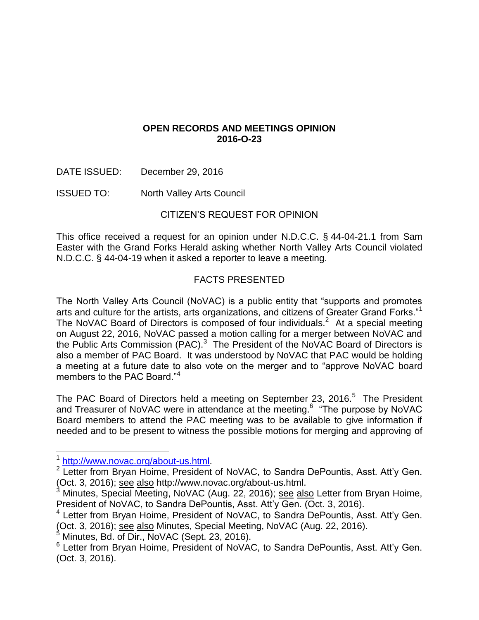## **OPEN RECORDS AND MEETINGS OPINION 2016-O-23**

- DATE ISSUED: December 29, 2016
- ISSUED TO: North Valley Arts Council

# CITIZEN'S REQUEST FOR OPINION

This office received a request for an opinion under N.D.C.C. § 44-04-21.1 from Sam Easter with the Grand Forks Herald asking whether North Valley Arts Council violated N.D.C.C. § 44-04-19 when it asked a reporter to leave a meeting.

## FACTS PRESENTED

The North Valley Arts Council (NoVAC) is a public entity that "supports and promotes arts and culture for the artists, arts organizations, and citizens of Greater Grand Forks."<sup>1</sup> The NoVAC Board of Directors is composed of four individuals.<sup>2</sup> At a special meeting on August 22, 2016, NoVAC passed a motion calling for a merger between NoVAC and the Public Arts Commission (PAC). $3$  The President of the NoVAC Board of Directors is also a member of PAC Board. It was understood by NoVAC that PAC would be holding a meeting at a future date to also vote on the merger and to "approve NoVAC board members to the PAC Board."<sup>4</sup>

The PAC Board of Directors held a meeting on September 23, 2016.<sup>5</sup> The President and Treasurer of NoVAC were in attendance at the meeting.<sup>6</sup> "The purpose by NoVAC Board members to attend the PAC meeting was to be available to give information if needed and to be present to witness the possible motions for merging and approving of

 $\overline{a}$ 

<sup>&</sup>lt;sup>1</sup> http://www.novac.org/about-us.html

<sup>&</sup>lt;sup>2</sup> Letter from Bryan Hoime, President of NoVAC, to Sandra DePountis, Asst. Att'y Gen. (Oct. 3, 2016); see also http://www.novac.org/about-us.html.

<sup>&</sup>lt;sup>3</sup> Minutes, Special Meeting, NoVAC (Aug. 22, 2016); see also Letter from Bryan Hoime, President of NoVAC, to Sandra DePountis, Asst. Att'y Gen. (Oct. 3, 2016).

<sup>4</sup> Letter from Bryan Hoime, President of NoVAC, to Sandra DePountis, Asst. Att'y Gen. (Oct. 3, 2016); see also Minutes, Special Meeting, NoVAC (Aug. 22, 2016).

Minutes, Bd. of Dir., NoVAC (Sept. 23, 2016).

<sup>&</sup>lt;sup>6</sup> Letter from Bryan Hoime, President of NoVAC, to Sandra DePountis, Asst. Att'y Gen. (Oct. 3, 2016).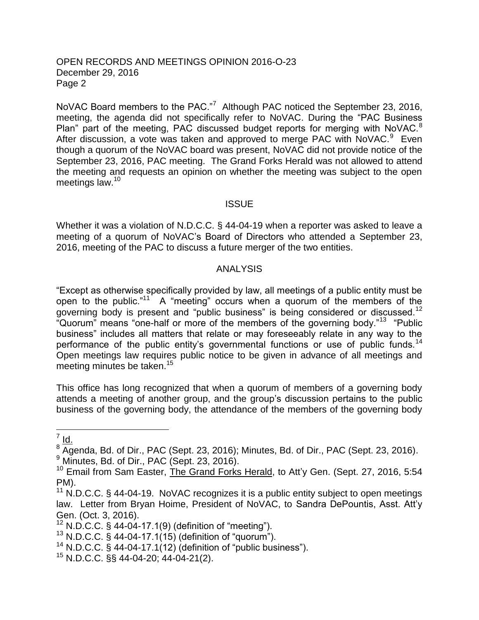#### OPEN RECORDS AND MEETINGS OPINION 2016-O-23 December 29, 2016 Page 2

NoVAC Board members to the PAC."<sup>7</sup> Although PAC noticed the September 23, 2016, meeting, the agenda did not specifically refer to NoVAC. During the "PAC Business Plan" part of the meeting, PAC discussed budget reports for merging with NoVAC. $8$ After discussion, a vote was taken and approved to merge PAC with NoVAC.<sup>9</sup> Even though a quorum of the NoVAC board was present, NoVAC did not provide notice of the September 23, 2016, PAC meeting. The Grand Forks Herald was not allowed to attend the meeting and requests an opinion on whether the meeting was subject to the open meetings law.<sup>10</sup>

#### **ISSUE**

Whether it was a violation of N.D.C.C. § 44-04-19 when a reporter was asked to leave a meeting of a quorum of NoVAC's Board of Directors who attended a September 23, 2016, meeting of the PAC to discuss a future merger of the two entities.

#### ANALYSIS

"Except as otherwise specifically provided by law, all meetings of a public entity must be open to the public."<sup>11</sup> A "meeting" occurs when a quorum of the members of the governing body is present and "public business" is being considered or discussed.<sup>12</sup> "Quorum" means "one-half or more of the members of the governing body."<sup>13</sup> "Public business" includes all matters that relate or may foreseeably relate in any way to the performance of the public entity's governmental functions or use of public funds.<sup>14</sup> Open meetings law requires public notice to be given in advance of all meetings and meeting minutes be taken.<sup>15</sup>

This office has long recognized that when a quorum of members of a governing body attends a meeting of another group, and the group's discussion pertains to the public business of the governing body, the attendance of the members of the governing body

 $\frac{7}{10}$ 

 $8\overline{A}$ genda, Bd. of Dir., PAC (Sept. 23, 2016); Minutes, Bd. of Dir., PAC (Sept. 23, 2016).  $9$  Minutes, Bd. of Dir., PAC (Sept. 23, 2016).

<sup>&</sup>lt;sup>10</sup> Email from Sam Easter, The Grand Forks Herald, to Att'y Gen. (Sept. 27, 2016, 5:54 PM).

 $11$  N.D.C.C. § 44-04-19. NoVAC recognizes it is a public entity subject to open meetings law. Letter from Bryan Hoime, President of NoVAC, to Sandra DePountis, Asst. Att'y Gen. (Oct. 3, 2016).

<sup>12</sup> N.D.C.C. § 44-04-17.1(9) (definition of "meeting").

 $13$  N.D.C.C. § 44-04-17.1(15) (definition of "quorum").

<sup>&</sup>lt;sup>14</sup> N.D.C.C. § 44-04-17.1(12) (definition of "public business").

 $15$  N.D.C.C. §§ 44-04-20; 44-04-21(2).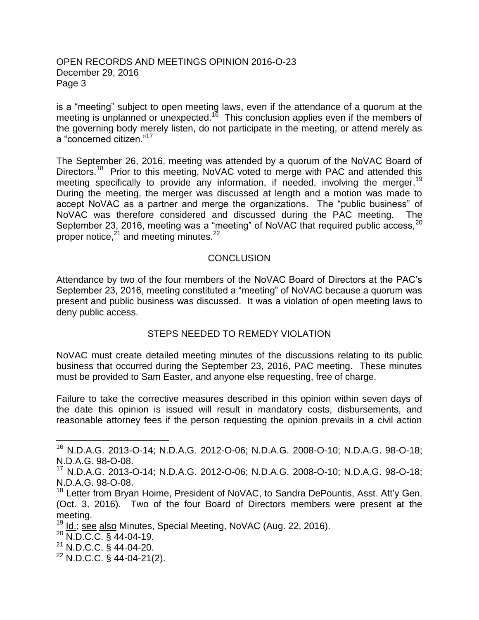#### OPEN RECORDS AND MEETINGS OPINION 2016-O-23 December 29, 2016 Page 3

is a "meeting" subject to open meeting laws, even if the attendance of a quorum at the meeting is unplanned or unexpected.<sup>16</sup> This conclusion applies even if the members of the governing body merely listen, do not participate in the meeting, or attend merely as a "concerned citizen."<sup>17</sup>

The September 26, 2016, meeting was attended by a quorum of the NoVAC Board of Directors.<sup>18</sup> Prior to this meeting, NoVAC voted to merge with PAC and attended this meeting specifically to provide any information, if needed, involving the merger.<sup>19</sup> During the meeting, the merger was discussed at length and a motion was made to accept NoVAC as a partner and merge the organizations. The "public business" of NoVAC was therefore considered and discussed during the PAC meeting. The September 23, 2016, meeting was a "meeting" of NoVAC that required public access,<sup>20</sup> proper notice, $2^1$  and meeting minutes.<sup>22</sup>

### **CONCLUSION**

Attendance by two of the four members of the NoVAC Board of Directors at the PAC's September 23, 2016, meeting constituted a "meeting" of NoVAC because a quorum was present and public business was discussed. It was a violation of open meeting laws to deny public access.

### STEPS NEEDED TO REMEDY VIOLATION

NoVAC must create detailed meeting minutes of the discussions relating to its public business that occurred during the September 23, 2016, PAC meeting. These minutes must be provided to Sam Easter, and anyone else requesting, free of charge.

Failure to take the corrective measures described in this opinion within seven days of the date this opinion is issued will result in mandatory costs, disbursements, and reasonable attorney fees if the person requesting the opinion prevails in a civil action

 $\overline{a}$ 

<sup>16</sup> N.D.A.G. 2013-O-14; N.D.A.G. 2012-O-06; N.D.A.G. 2008-O-10; N.D.A.G. 98-O-18; N.D.A.G. 98-O-08.

<sup>17</sup> N.D.A.G. 2013-O-14; N.D.A.G. 2012-O-06; N.D.A.G. 2008-O-10; N.D.A.G. 98-O-18; N.D.A.G. 98-O-08.

<sup>&</sup>lt;sup>18</sup> Letter from Bryan Hoime, President of NoVAC, to Sandra DePountis, Asst. Att'y Gen. (Oct. 3, 2016). Two of the four Board of Directors members were present at the meeting.

<sup>&</sup>lt;sup>19</sup> Id.; see also Minutes, Special Meeting, NoVAC (Aug. 22, 2016).

 $^{20}$  N.D.C.C.  $\frac{64}{3}$  44-04-19.

<sup>21</sup> N.D.C.C. § 44-04-20.

 $^{22}$  N.D.C.C. § 44-04-21(2).